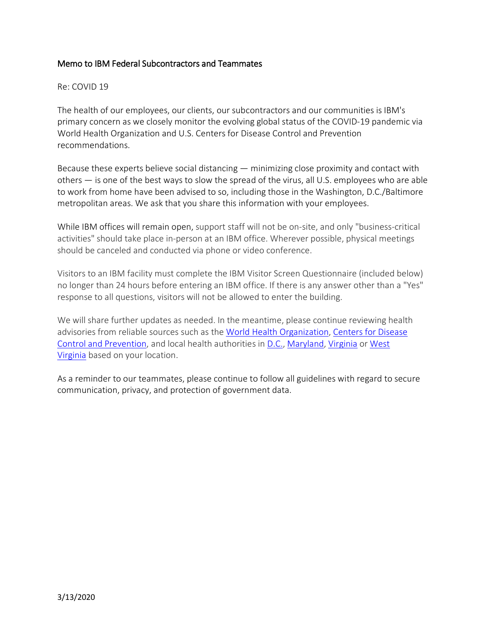## Memo to IBM Federal Subcontractors and Teammates

## Re: COVID 19

The health of our employees, our clients, our subcontractors and our communities is IBM's primary concern as we closely monitor the evolving global status of the COVID-19 pandemic via World Health Organization and U.S. Centers for Disease Control and Prevention recommendations.

Because these experts believe social distancing — minimizing close proximity and contact with others — is one of the best ways to slow the spread of the virus, all U.S. employees who are able to work from home have been advised to so, including those in the Washington, D.C./Baltimore metropolitan areas. We ask that you share this information with your employees.

While IBM offices will remain open, support staff will not be on-site, and only "business-critical activities" should take place in-person at an IBM office. Wherever possible, physical meetings should be canceled and conducted via phone or video conference.

Visitors to an IBM facility must complete the IBM Visitor Screen Questionnaire (included below) no longer than 24 hours before entering an IBM office. If there is any answer other than a "Yes" response to all questions, visitors will not be allowed to enter the building.

We will share further updates as needed. In the meantime, please continue reviewing health advisories from reliable sources such as the [World Health Organization,](http://links.spop.ibm.com/ctt?kn=5&ms=MTcwNjU4ODgS1&r=NTE5NzQ4NDczNzA0S0&b=0&j=MTg0MDYwMzAyMAS2&mt=1&rt=0) [Centers for Disease](http://links.spop.ibm.com/ctt?kn=2&ms=MTcwNjU4ODgS1&r=NTE5NzQ4NDczNzA0S0&b=0&j=MTg0MDYwMzAyMAS2&mt=1&rt=0)  [Control and Prevention,](http://links.spop.ibm.com/ctt?kn=2&ms=MTcwNjU4ODgS1&r=NTE5NzQ4NDczNzA0S0&b=0&j=MTg0MDYwMzAyMAS2&mt=1&rt=0) and local health authorities in [D.C.,](https://coronavirus.dc.gov/) [Maryland,](https://health.maryland.gov/pages/home.aspx) [Virginia](http://www.vdh.virginia.gov/surveillance-and-investigation/novel-coronavirus/) or [West](https://dhhr.wv.gov/Coronavirus%20Disease-COVID-19/Pages/default.aspx)  [Virginia](https://dhhr.wv.gov/Coronavirus%20Disease-COVID-19/Pages/default.aspx) based on your location.

As a reminder to our teammates, please continue to follow all guidelines with regard to secure communication, privacy, and protection of government data.